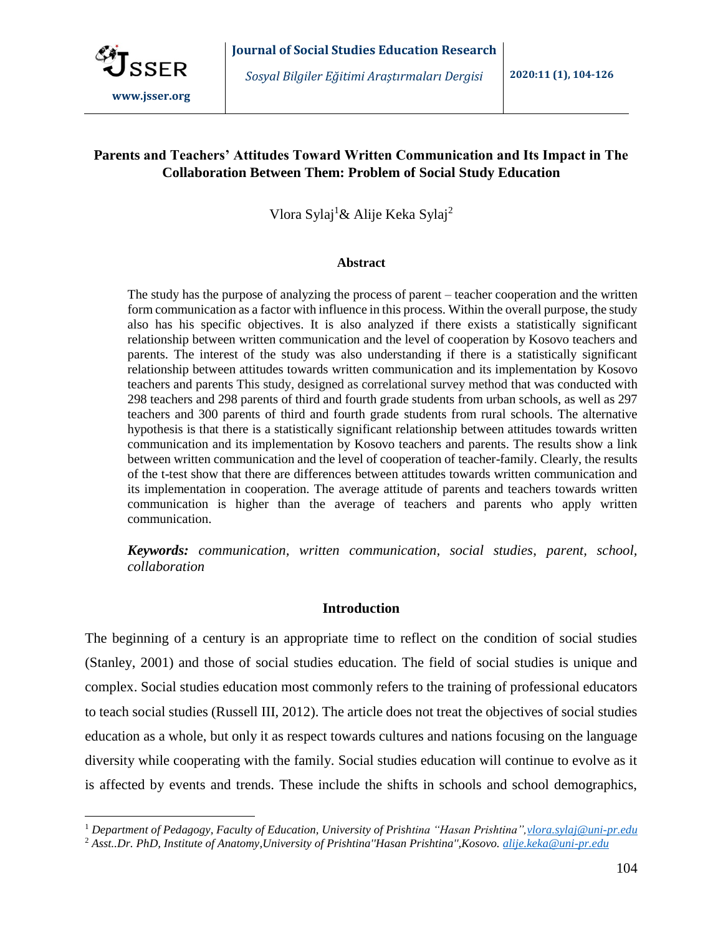

 $\overline{a}$ 

*Sosyal Bilgiler Eğitimi Araştırmaları Dergisi* **2020:11 (1), 104-126**

# **Parents and Teachers' Attitudes Toward Written Communication and Its Impact in The Collaboration Between Them: Problem of Social Study Education**

Vlora Sylaj<sup>1</sup>& Alije Keka Sylaj<sup>2</sup>

#### **Abstract**

The study has the purpose of analyzing the process of parent – teacher cooperation and the written form communication as a factor with influence in this process. Within the overall purpose, the study also has his specific objectives. It is also analyzed if there exists a statistically significant relationship between written communication and the level of cooperation by Kosovo teachers and parents. The interest of the study was also understanding if there is a statistically significant relationship between attitudes towards written communication and its implementation by Kosovo teachers and parents This study, designed as correlational survey method that was conducted with 298 teachers and 298 parents of third and fourth grade students from urban schools, as well as 297 teachers and 300 parents of third and fourth grade students from rural schools. The alternative hypothesis is that there is a statistically significant relationship between attitudes towards written communication and its implementation by Kosovo teachers and parents. The results show a link between written communication and the level of cooperation of teacher-family. Clearly, the results of the t-test show that there are differences between attitudes towards written communication and its implementation in cooperation. The average attitude of parents and teachers towards written communication is higher than the average of teachers and parents who apply written communication.

*Keywords: communication, written communication, social studies*, *parent, school, collaboration*

# **Introduction**

The beginning of a century is an appropriate time to reflect on the condition of social studies (Stanley, 2001) and those of social studies education. The field of social studies is unique and complex. Social studies education most commonly refers to the training of professional educators to teach social studies (Russell III, 2012). The article does not treat the objectives of social studies education as a whole, but only it as respect towards cultures and nations focusing on the language diversity while cooperating with the family. Social studies education will continue to evolve as it is affected by events and trends. These include the shifts in schools and school demographics,

<sup>1</sup> *Department of Pedagogy, Faculty of Education, University of Prishtina "Hasan Prishtina"[,vlora.sylaj@uni-pr.edu](mailto:vlora.sylaj@uni-pr.edu)*

<sup>2</sup> *Asst..Dr. PhD, Institute of Anatomy,University of Prishtina''Hasan Prishtina'',Kosovo. [alije.keka@uni-pr.edu](mailto:alije.keka@uni-pr.edu)*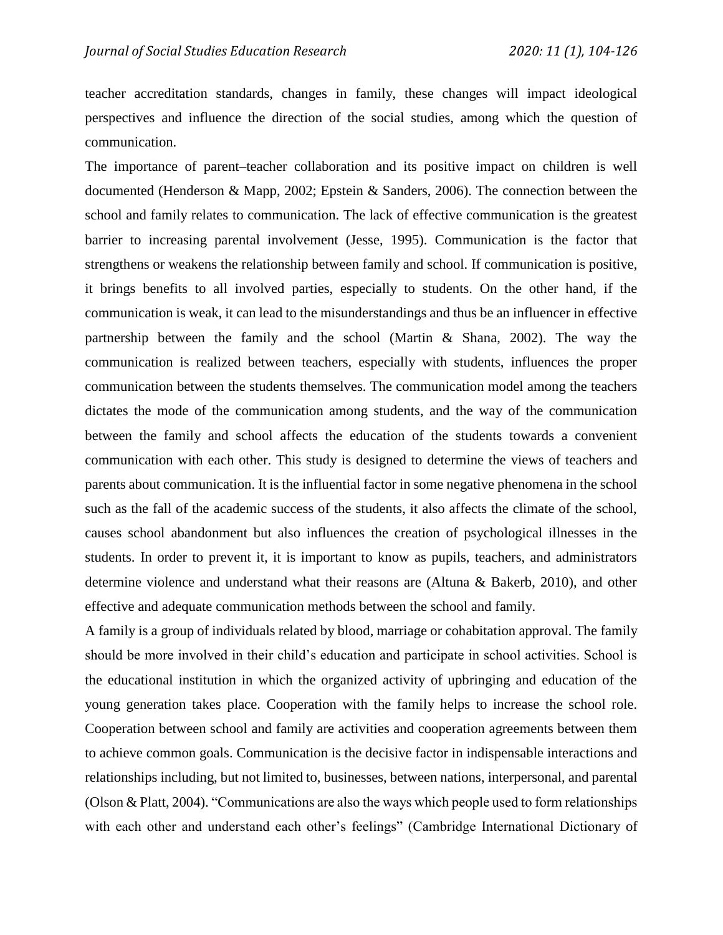teacher accreditation standards, changes in family, these changes will impact ideological perspectives and influence the direction of the social studies, among which the question of communication.

The importance of parent–teacher collaboration and its positive impact on children is well documented (Henderson & Mapp, 2002; Epstein & Sanders, 2006). The connection between the school and family relates to communication. The lack of effective communication is the greatest barrier to increasing parental involvement (Jesse, 1995). Communication is the factor that strengthens or weakens the relationship between family and school. If communication is positive, it brings benefits to all involved parties, especially to students. On the other hand, if the communication is weak, it can lead to the misunderstandings and thus be an influencer in effective partnership between the family and the school (Martin & Shana, 2002). The way the communication is realized between teachers, especially with students, influences the proper communication between the students themselves. The communication model among the teachers dictates the mode of the communication among students, and the way of the communication between the family and school affects the education of the students towards a convenient communication with each other. This study is designed to determine the views of teachers and parents about communication. It is the influential factor in some negative phenomena in the school such as the fall of the academic success of the students, it also affects the climate of the school, causes school abandonment but also influences the creation of psychological illnesses in the students. In order to prevent it, it is important to know as pupils, teachers, and administrators determine violence and understand what their reasons are (Altuna & Bakerb, 2010), and other effective and adequate communication methods between the school and family.

A family is a group of individuals related by blood, marriage or cohabitation approval. The family should be more involved in their child's education and participate in school activities. School is the educational institution in which the organized activity of upbringing and education of the young generation takes place. Cooperation with the family helps to increase the school role. Cooperation between school and family are activities and cooperation agreements between them to achieve common goals. Communication is the decisive factor in indispensable interactions and relationships including, but not limited to, businesses, between nations, interpersonal, and parental (Olson & Platt, 2004). "Communications are also the ways which people used to form relationships with each other and understand each other's feelings" (Cambridge International Dictionary of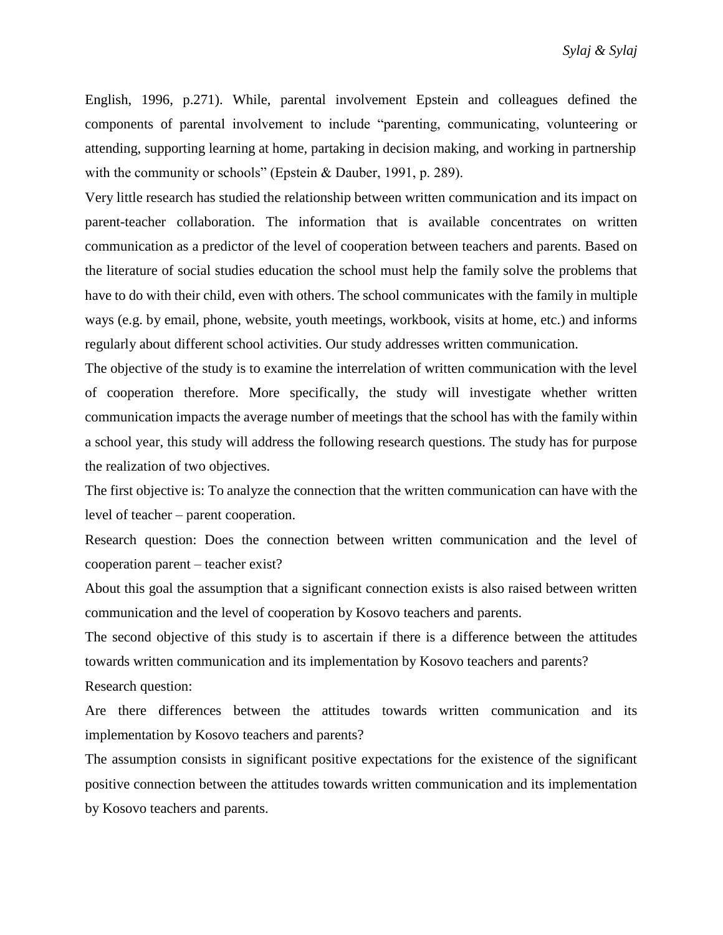English, 1996, p.271). While, parental involvement Epstein and colleagues defined the components of parental involvement to include "parenting, communicating, volunteering or attending, supporting learning at home, partaking in decision making, and working in partnership with the community or schools" (Epstein & Dauber, 1991, p. 289).

Very little research has studied the relationship between written communication and its impact on parent-teacher collaboration. The information that is available concentrates on written communication as a predictor of the level of cooperation between teachers and parents. Based on the literature of social studies education the school must help the family solve the problems that have to do with their child, even with others. The school communicates with the family in multiple ways (e.g. by email, phone, website, youth meetings, workbook, visits at home, etc.) and informs regularly about different school activities. Our study addresses written communication.

The objective of the study is to examine the interrelation of written communication with the level of cooperation therefore. More specifically, the study will investigate whether written communication impacts the average number of meetings that the school has with the family within a school year, this study will address the following research questions. The study has for purpose the realization of two objectives.

The first objective is: To analyze the connection that the written communication can have with the level of teacher – parent cooperation.

Research question: Does the connection between written communication and the level of cooperation parent – teacher exist?

About this goal the assumption that a significant connection exists is also raised between written communication and the level of cooperation by Kosovo teachers and parents.

The second objective of this study is to ascertain if there is a difference between the attitudes towards written communication and its implementation by Kosovo teachers and parents? Research question:

Are there differences between the attitudes towards written communication and its implementation by Kosovo teachers and parents?

The assumption consists in significant positive expectations for the existence of the significant positive connection between the attitudes towards written communication and its implementation by Kosovo teachers and parents.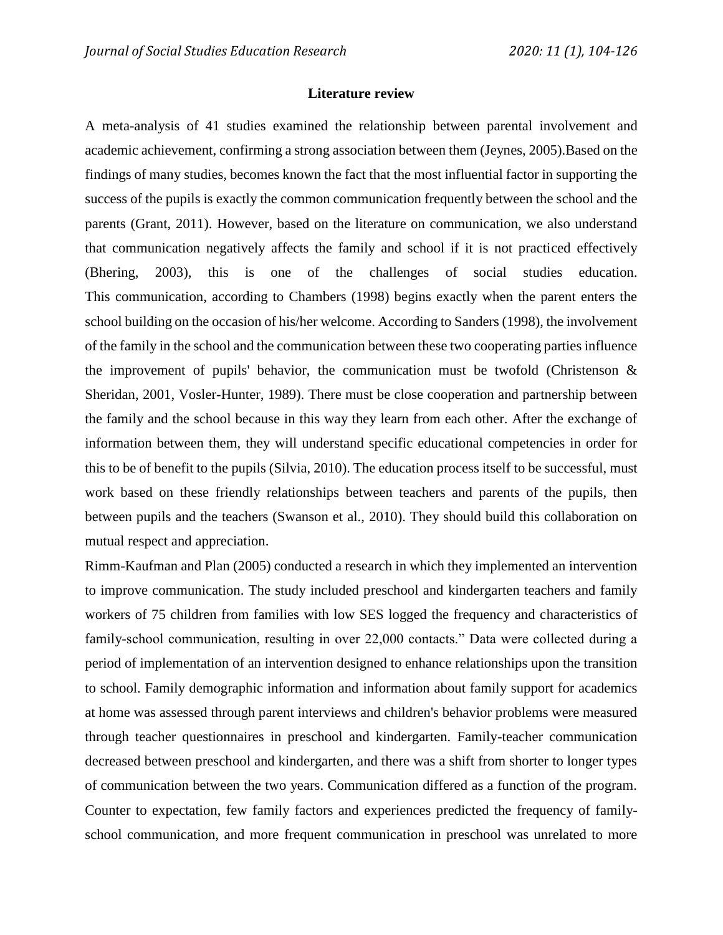#### **Literature review**

A meta-analysis of 41 studies examined the relationship between parental involvement and academic achievement, confirming a strong association between them (Jeynes, 2005).Based on the findings of many studies, becomes known the fact that the most influential factor in supporting the success of the pupils is exactly the common communication frequently between the school and the parents (Grant, 2011). However, based on the literature on communication, we also understand that communication negatively affects the family and school if it is not practiced effectively (Bhering, 2003), this is one of the challenges of social studies education. This communication, according to Chambers (1998) begins exactly when the parent enters the school building on the occasion of his/her welcome. According to Sanders (1998), the involvement of the family in the school and the communication between these two cooperating parties influence the improvement of pupils' behavior, the communication must be twofold (Christenson  $\&$ Sheridan, 2001, Vosler-Hunter, 1989). There must be close cooperation and partnership between the family and the school because in this way they learn from each other. After the exchange of information between them, they will understand specific educational competencies in order for this to be of benefit to the pupils (Silvia, 2010). The education process itself to be successful, must work based on these friendly relationships between teachers and parents of the pupils, then between pupils and the teachers (Swanson et al., 2010). They should build this collaboration on mutual respect and appreciation.

Rimm-Kaufman and Plan (2005) conducted a research in which they implemented an intervention to improve communication. The study included preschool and kindergarten teachers and family workers of 75 children from families with low SES logged the frequency and characteristics of family-school communication, resulting in over 22,000 contacts." Data were collected during a period of implementation of an intervention designed to enhance relationships upon the transition to school. Family demographic information and information about family support for academics at home was assessed through parent interviews and children's behavior problems were measured through teacher questionnaires in preschool and kindergarten. Family-teacher communication decreased between preschool and kindergarten, and there was a shift from shorter to longer types of communication between the two years. Communication differed as a function of the program. Counter to expectation, few family factors and experiences predicted the frequency of familyschool communication, and more frequent communication in preschool was unrelated to more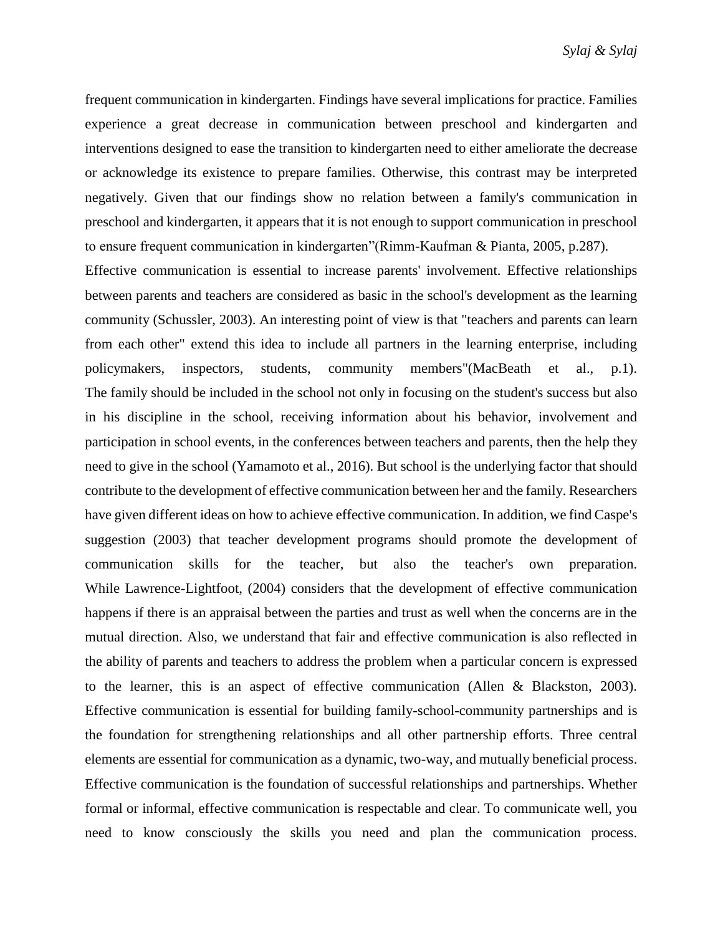frequent communication in kindergarten. Findings have several implications for practice. Families experience a great decrease in communication between preschool and kindergarten and interventions designed to ease the transition to kindergarten need to either ameliorate the decrease or acknowledge its existence to prepare families. Otherwise, this contrast may be interpreted negatively. Given that our findings show no relation between a family's communication in preschool and kindergarten, it appears that it is not enough to support communication in preschool to ensure frequent communication in kindergarten"(Rimm-Kaufman & Pianta, 2005, p.287). Effective communication is essential to increase parents' involvement. Effective relationships between parents and teachers are considered as basic in the school's development as the learning community (Schussler, 2003). An interesting point of view is that "teachers and parents can learn from each other" extend this idea to include all partners in the learning enterprise, including policymakers, inspectors, students, community members"(MacBeath et al., p.1). The family should be included in the school not only in focusing on the student's success but also in his discipline in the school, receiving information about his behavior, involvement and participation in school events, in the conferences between teachers and parents, then the help they need to give in the school (Yamamoto et al., 2016). But school is the underlying factor that should contribute to the development of effective communication between her and the family. Researchers have given different ideas on how to achieve effective communication. In addition, we find Caspe's suggestion (2003) that teacher development programs should promote the development of communication skills for the teacher, but also the teacher's own preparation. While Lawrence-Lightfoot, (2004) considers that the development of effective communication

the foundation for strengthening relationships and all other partnership efforts. Three central elements are essential for communication as a dynamic, two-way, and mutually beneficial process. Effective communication is the foundation of successful relationships and partnerships. Whether formal or informal, effective communication is respectable and clear. To communicate well, you need to know consciously the skills you need and plan the communication process.

happens if there is an appraisal between the parties and trust as well when the concerns are in the

mutual direction. Also, we understand that fair and effective communication is also reflected in

the ability of parents and teachers to address the problem when a particular concern is expressed

to the learner, this is an aspect of effective communication (Allen & Blackston, 2003).

Effective communication is essential for building family-school-community partnerships and is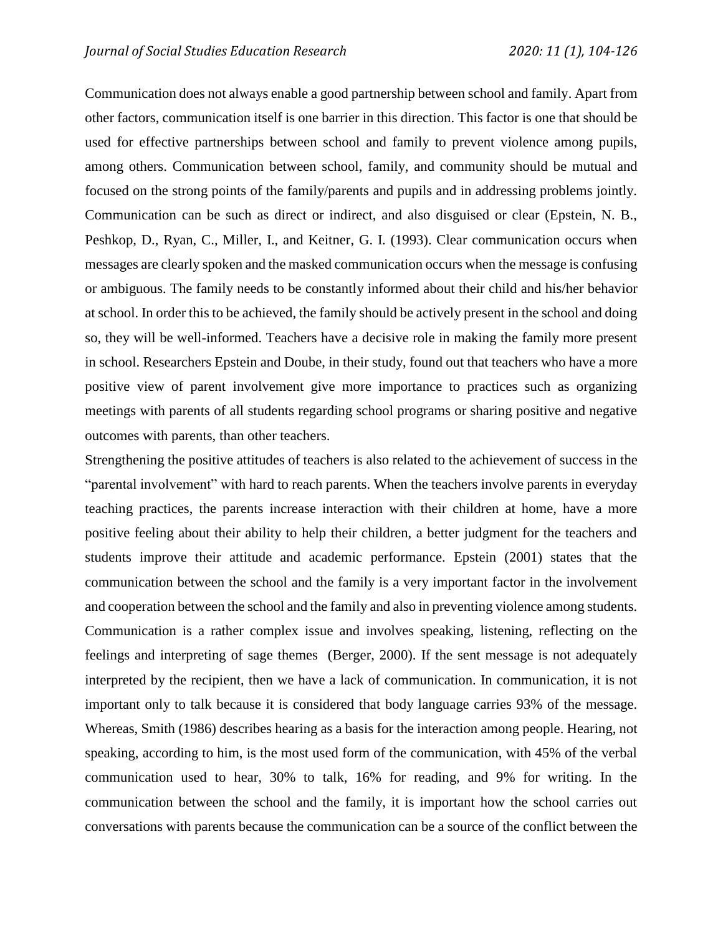Communication does not always enable a good partnership between school and family. Apart from other factors, communication itself is one barrier in this direction. This factor is one that should be used for effective partnerships between school and family to prevent violence among pupils, among others. Communication between school, family, and community should be mutual and focused on the strong points of the family/parents and pupils and in addressing problems jointly. Communication can be such as direct or indirect, and also disguised or clear (Epstein, N. B., Peshkop, D., Ryan, C., Miller, I., and Keitner, G. I. (1993). Clear communication occurs when messages are clearly spoken and the masked communication occurs when the message is confusing or ambiguous. The family needs to be constantly informed about their child and his/her behavior at school. In order this to be achieved, the family should be actively present in the school and doing so, they will be well-informed. Teachers have a decisive role in making the family more present in school. Researchers Epstein and Doube, in their study, found out that teachers who have a more positive view of parent involvement give more importance to practices such as organizing meetings with parents of all students regarding school programs or sharing positive and negative outcomes with parents, than other teachers.

Strengthening the positive attitudes of teachers is also related to the achievement of success in the "parental involvement" with hard to reach parents. When the teachers involve parents in everyday teaching practices, the parents increase interaction with their children at home, have a more positive feeling about their ability to help their children, a better judgment for the teachers and students improve their attitude and academic performance. Epstein (2001) states that the communication between the school and the family is a very important factor in the involvement and cooperation between the school and the family and also in preventing violence among students. Communication is a rather complex issue and involves speaking, listening, reflecting on the feelings and interpreting of sage themes (Berger, 2000). If the sent message is not adequately interpreted by the recipient, then we have a lack of communication. In communication, it is not important only to talk because it is considered that body language carries 93% of the message. Whereas, Smith (1986) describes hearing as a basis for the interaction among people. Hearing, not speaking, according to him, is the most used form of the communication, with 45% of the verbal communication used to hear, 30% to talk, 16% for reading, and 9% for writing. In the communication between the school and the family, it is important how the school carries out conversations with parents because the communication can be a source of the conflict between the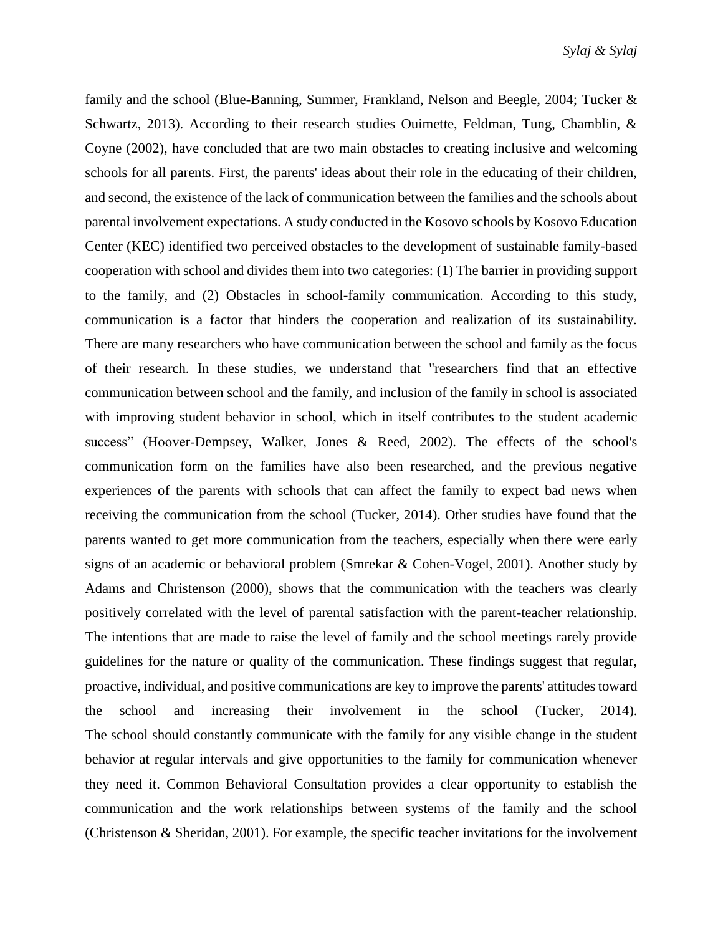family and the school (Blue-Banning, Summer, Frankland, Nelson and Beegle, 2004; Tucker & Schwartz, 2013). According to their research studies Ouimette, Feldman, Tung, Chamblin, & Coyne (2002), have concluded that are two main obstacles to creating inclusive and welcoming schools for all parents. First, the parents' ideas about their role in the educating of their children, and second, the existence of the lack of communication between the families and the schools about parental involvement expectations. A study conducted in the Kosovo schools by Kosovo Education Center (KEC) identified two perceived obstacles to the development of sustainable family-based cooperation with school and divides them into two categories: (1) The barrier in providing support to the family, and (2) Obstacles in school-family communication. According to this study, communication is a factor that hinders the cooperation and realization of its sustainability. There are many researchers who have communication between the school and family as the focus of their research. In these studies, we understand that "researchers find that an effective communication between school and the family, and inclusion of the family in school is associated with improving student behavior in school, which in itself contributes to the student academic success" (Hoover-Dempsey, Walker, Jones & Reed, 2002). The effects of the school's communication form on the families have also been researched, and the previous negative experiences of the parents with schools that can affect the family to expect bad news when receiving the communication from the school (Tucker, 2014). Other studies have found that the parents wanted to get more communication from the teachers, especially when there were early signs of an academic or behavioral problem (Smrekar & Cohen-Vogel, 2001). Another study by Adams and Christenson (2000), shows that the communication with the teachers was clearly positively correlated with the level of parental satisfaction with the parent-teacher relationship. The intentions that are made to raise the level of family and the school meetings rarely provide guidelines for the nature or quality of the communication. These findings suggest that regular, proactive, individual, and positive communications are key to improve the parents' attitudes toward the school and increasing their involvement in the school (Tucker, 2014). The school should constantly communicate with the family for any visible change in the student behavior at regular intervals and give opportunities to the family for communication whenever they need it. Common Behavioral Consultation provides a clear opportunity to establish the communication and the work relationships between systems of the family and the school (Christenson & Sheridan, 2001). For example, the specific teacher invitations for the involvement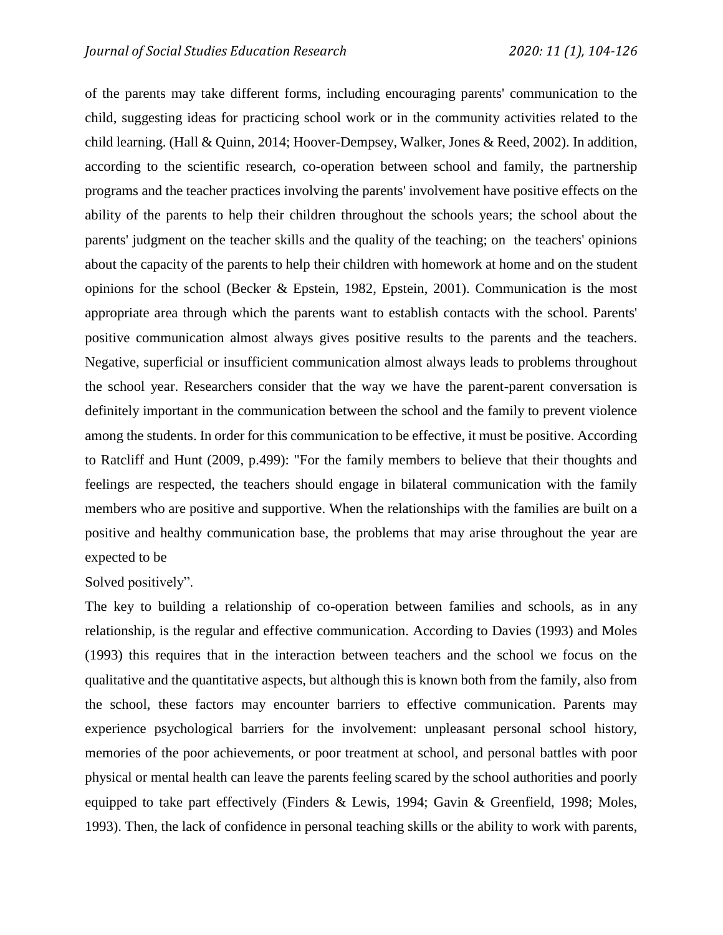of the parents may take different forms, including encouraging parents' communication to the child, suggesting ideas for practicing school work or in the community activities related to the child learning. (Hall & Quinn, 2014; Hoover-Dempsey, Walker, Jones & Reed, 2002). In addition, according to the scientific research, co-operation between school and family, the partnership programs and the teacher practices involving the parents' involvement have positive effects on the ability of the parents to help their children throughout the schools years; the school about the parents' judgment on the teacher skills and the quality of the teaching; on the teachers' opinions about the capacity of the parents to help their children with homework at home and on the student opinions for the school (Becker & Epstein, 1982, Epstein, 2001). Communication is the most appropriate area through which the parents want to establish contacts with the school. Parents' positive communication almost always gives positive results to the parents and the teachers. Negative, superficial or insufficient communication almost always leads to problems throughout the school year. Researchers consider that the way we have the parent-parent conversation is definitely important in the communication between the school and the family to prevent violence among the students. In order for this communication to be effective, it must be positive. According to Ratcliff and Hunt (2009, p.499): "For the family members to believe that their thoughts and feelings are respected, the teachers should engage in bilateral communication with the family members who are positive and supportive. When the relationships with the families are built on a positive and healthy communication base, the problems that may arise throughout the year are expected to be

#### Solved positively".

The key to building a relationship of co-operation between families and schools, as in any relationship, is the regular and effective communication. According to Davies (1993) and Moles (1993) this requires that in the interaction between teachers and the school we focus on the qualitative and the quantitative aspects, but although this is known both from the family, also from the school, these factors may encounter barriers to effective communication. Parents may experience psychological barriers for the involvement: unpleasant personal school history, memories of the poor achievements, or poor treatment at school, and personal battles with poor physical or mental health can leave the parents feeling scared by the school authorities and poorly equipped to take part effectively (Finders & Lewis, 1994; Gavin & Greenfield, 1998; Moles, 1993). Then, the lack of confidence in personal teaching skills or the ability to work with parents,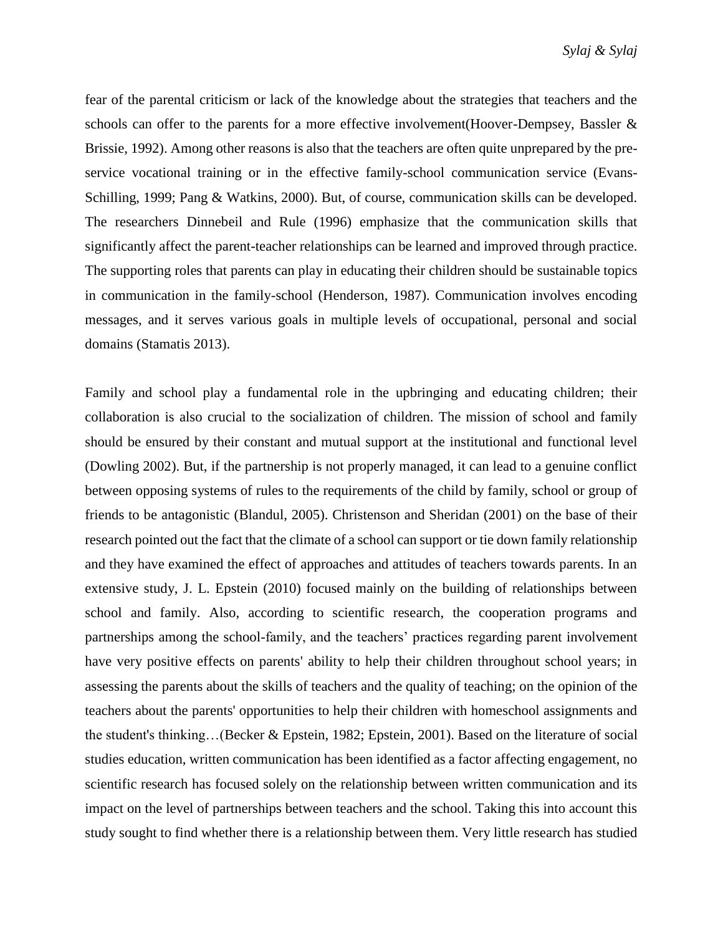fear of the parental criticism or lack of the knowledge about the strategies that teachers and the schools can offer to the parents for a more effective involvement(Hoover-Dempsey, Bassler & Brissie, 1992). Among other reasons is also that the teachers are often quite unprepared by the preservice vocational training or in the effective family-school communication service (Evans-Schilling, 1999; Pang & Watkins, 2000). But, of course, communication skills can be developed. The researchers Dinnebeil and Rule (1996) emphasize that the communication skills that significantly affect the parent-teacher relationships can be learned and improved through practice. The supporting roles that parents can play in educating their children should be sustainable topics in communication in the family-school (Henderson, 1987). Communication involves encoding messages, and it serves various goals in multiple levels of occupational, personal and social domains (Stamatis 2013).

Family and school play a fundamental role in the upbringing and educating children; their collaboration is also crucial to the socialization of children. The mission of school and family should be ensured by their constant and mutual support at the institutional and functional level (Dowling 2002). But, if the partnership is not properly managed, it can lead to a genuine conflict between opposing systems of rules to the requirements of the child by family, school or group of friends to be antagonistic (Blandul, 2005). Christenson and Sheridan (2001) on the base of their research pointed out the fact that the climate of a school can support or tie down family relationship and they have examined the effect of approaches and attitudes of teachers towards parents. In an extensive study, J. L. Epstein (2010) focused mainly on the building of relationships between school and family. Also, according to scientific research, the cooperation programs and partnerships among the school-family, and the teachers' practices regarding parent involvement have very positive effects on parents' ability to help their children throughout school years; in assessing the parents about the skills of teachers and the quality of teaching; on the opinion of the teachers about the parents' opportunities to help their children with homeschool assignments and the student's thinking…(Becker & Epstein, 1982; Epstein, 2001). Based on the literature of social studies education, written communication has been identified as a factor affecting engagement, no scientific research has focused solely on the relationship between written communication and its impact on the level of partnerships between teachers and the school. Taking this into account this study sought to find whether there is a relationship between them. Very little research has studied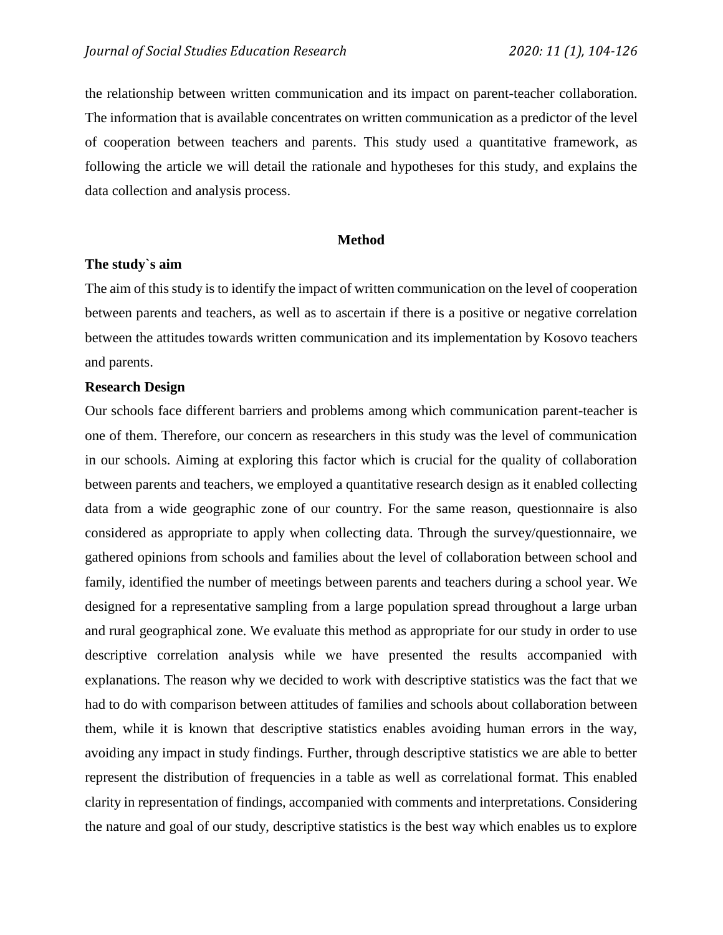the relationship between written communication and its impact on parent-teacher collaboration. The information that is available concentrates on written communication as a predictor of the level of cooperation between teachers and parents. This study used a quantitative framework, as following the article we will detail the rationale and hypotheses for this study, and explains the data collection and analysis process.

#### **Method**

#### **The study`s aim**

The aim of this study is to identify the impact of written communication on the level of cooperation between parents and teachers, as well as to ascertain if there is a positive or negative correlation between the attitudes towards written communication and its implementation by Kosovo teachers and parents.

#### **Research Design**

Our schools face different barriers and problems among which communication parent-teacher is one of them. Therefore, our concern as researchers in this study was the level of communication in our schools. Aiming at exploring this factor which is crucial for the quality of collaboration between parents and teachers, we employed a quantitative research design as it enabled collecting data from a wide geographic zone of our country. For the same reason, questionnaire is also considered as appropriate to apply when collecting data. Through the survey/questionnaire, we gathered opinions from schools and families about the level of collaboration between school and family, identified the number of meetings between parents and teachers during a school year. We designed for a representative sampling from a large population spread throughout a large urban and rural geographical zone. We evaluate this method as appropriate for our study in order to use descriptive correlation analysis while we have presented the results accompanied with explanations. The reason why we decided to work with descriptive statistics was the fact that we had to do with comparison between attitudes of families and schools about collaboration between them, while it is known that descriptive statistics enables avoiding human errors in the way, avoiding any impact in study findings. Further, through descriptive statistics we are able to better represent the distribution of frequencies in a table as well as correlational format. This enabled clarity in representation of findings, accompanied with comments and interpretations. Considering the nature and goal of our study, descriptive statistics is the best way which enables us to explore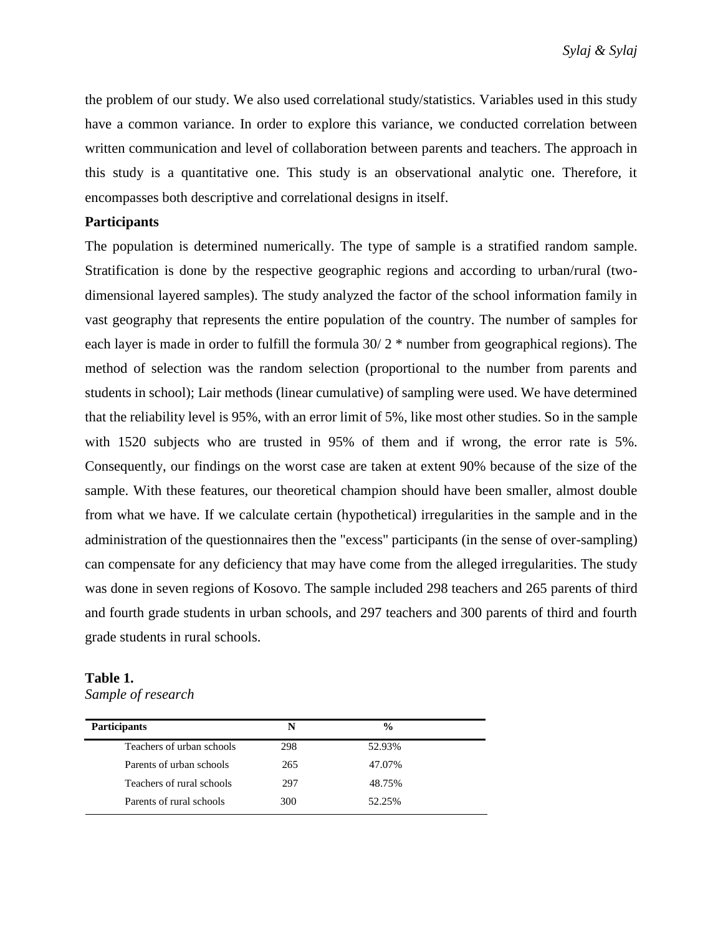the problem of our study. We also used correlational study/statistics. Variables used in this study have a common variance. In order to explore this variance, we conducted correlation between written communication and level of collaboration between parents and teachers. The approach in this study is a quantitative one. This study is an observational analytic one. Therefore, it encompasses both descriptive and correlational designs in itself.

### **Participants**

The population is determined numerically. The type of sample is a stratified random sample. Stratification is done by the respective geographic regions and according to urban/rural (twodimensional layered samples). The study analyzed the factor of the school information family in vast geography that represents the entire population of the country. The number of samples for each layer is made in order to fulfill the formula 30/ 2 \* number from geographical regions). The method of selection was the random selection (proportional to the number from parents and students in school); Lair methods (linear cumulative) of sampling were used. We have determined that the reliability level is 95%, with an error limit of 5%, like most other studies. So in the sample with 1520 subjects who are trusted in 95% of them and if wrong, the error rate is 5%. Consequently, our findings on the worst case are taken at extent 90% because of the size of the sample. With these features, our theoretical champion should have been smaller, almost double from what we have. If we calculate certain (hypothetical) irregularities in the sample and in the administration of the questionnaires then the "excess" participants (in the sense of over-sampling) can compensate for any deficiency that may have come from the alleged irregularities. The study was done in seven regions of Kosovo. The sample included 298 teachers and 265 parents of third and fourth grade students in urban schools, and 297 teachers and 300 parents of third and fourth grade students in rural schools.

# **Table 1.**

*Sample of research*

| <b>Participants</b>       | N   | $\frac{0}{0}$ |  |
|---------------------------|-----|---------------|--|
| Teachers of urban schools | 298 | 52.93%        |  |
| Parents of urban schools  | 265 | 47.07%        |  |
| Teachers of rural schools | 297 | 48.75%        |  |
| Parents of rural schools  | 300 | 52.25%        |  |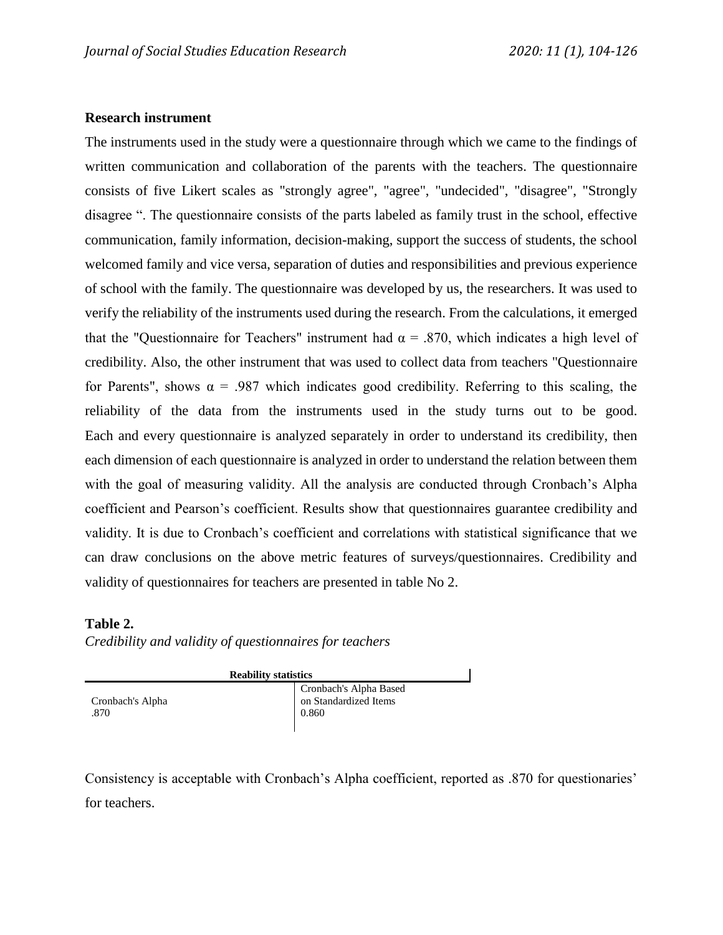#### **Research instrument**

The instruments used in the study were a questionnaire through which we came to the findings of written communication and collaboration of the parents with the teachers. The questionnaire consists of five Likert scales as "strongly agree", "agree", "undecided", "disagree", "Strongly disagree ". The questionnaire consists of the parts labeled as family trust in the school, effective communication, family information, decision-making, support the success of students, the school welcomed family and vice versa, separation of duties and responsibilities and previous experience of school with the family. The questionnaire was developed by us, the researchers. It was used to verify the reliability of the instruments used during the research. From the calculations, it emerged that the "Questionnaire for Teachers" instrument had  $\alpha = .870$ , which indicates a high level of credibility. Also, the other instrument that was used to collect data from teachers "Questionnaire for Parents", shows  $\alpha$  = .987 which indicates good credibility. Referring to this scaling, the reliability of the data from the instruments used in the study turns out to be good. Each and every questionnaire is analyzed separately in order to understand its credibility, then each dimension of each questionnaire is analyzed in order to understand the relation between them with the goal of measuring validity. All the analysis are conducted through Cronbach's Alpha coefficient and Pearson's coefficient. Results show that questionnaires guarantee credibility and validity. It is due to Cronbach's coefficient and correlations with statistical significance that we can draw conclusions on the above metric features of surveys/questionnaires. Credibility and validity of questionnaires for teachers are presented in table No 2.

## **Table 2.**

#### *Credibility and validity of questionnaires for teachers*

| <b>Reability statistics</b> |                                                          |  |  |  |
|-----------------------------|----------------------------------------------------------|--|--|--|
| Cronbach's Alpha<br>.870    | Cronbach's Alpha Based<br>on Standardized Items<br>0.860 |  |  |  |

Consistency is acceptable with Cronbach's Alpha coefficient, reported as .870 for questionaries' for teachers.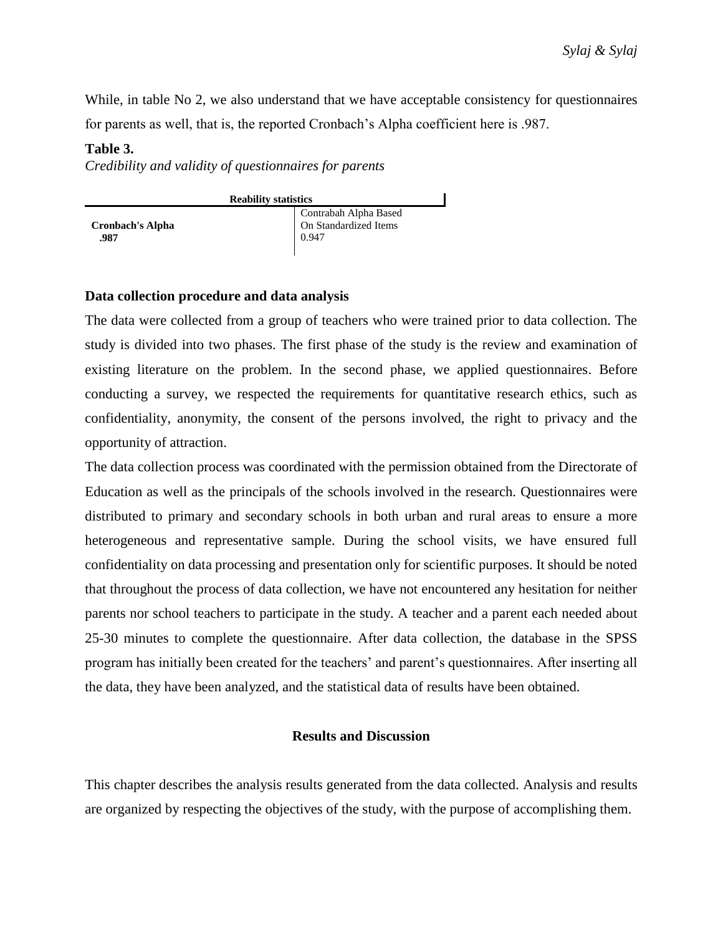While, in table No 2, we also understand that we have acceptable consistency for questionnaires for parents as well, that is, the reported Cronbach's Alpha coefficient here is .987.

## **Table 3.**

*Credibility and validity of questionnaires for parents*

| <b>Reability statistics</b>     |                                                         |  |  |  |
|---------------------------------|---------------------------------------------------------|--|--|--|
| <b>Cronbach's Alpha</b><br>.987 | Contrabah Alpha Based<br>On Standardized Items<br>0.947 |  |  |  |

## **Data collection procedure and data analysis**

The data were collected from a group of teachers who were trained prior to data collection. The study is divided into two phases. The first phase of the study is the review and examination of existing literature on the problem. In the second phase, we applied questionnaires. Before conducting a survey, we respected the requirements for quantitative research ethics, such as confidentiality, anonymity, the consent of the persons involved, the right to privacy and the opportunity of attraction.

The data collection process was coordinated with the permission obtained from the Directorate of Education as well as the principals of the schools involved in the research. Questionnaires were distributed to primary and secondary schools in both urban and rural areas to ensure a more heterogeneous and representative sample. During the school visits, we have ensured full confidentiality on data processing and presentation only for scientific purposes. It should be noted that throughout the process of data collection, we have not encountered any hesitation for neither parents nor school teachers to participate in the study. A teacher and a parent each needed about 25-30 minutes to complete the questionnaire. After data collection, the database in the SPSS program has initially been created for the teachers' and parent's questionnaires. After inserting all the data, they have been analyzed, and the statistical data of results have been obtained.

## **Results and Discussion**

This chapter describes the analysis results generated from the data collected. Analysis and results are organized by respecting the objectives of the study, with the purpose of accomplishing them.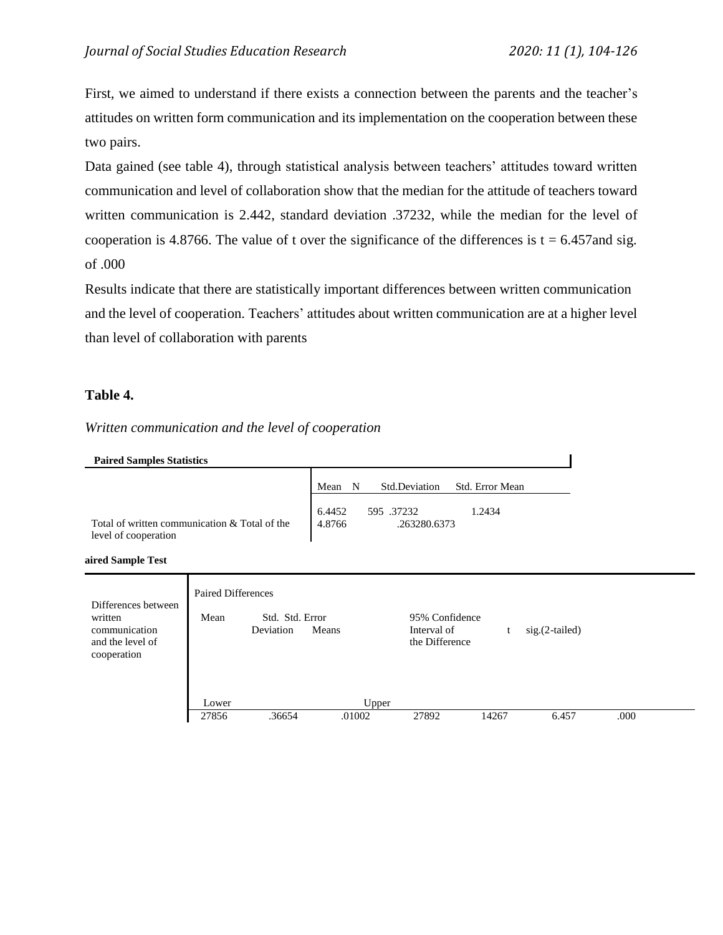First, we aimed to understand if there exists a connection between the parents and the teacher's attitudes on written form communication and its implementation on the cooperation between these two pairs.

Data gained (see table 4), through statistical analysis between teachers' attitudes toward written communication and level of collaboration show that the median for the attitude of teachers toward written communication is 2.442, standard deviation .37232, while the median for the level of cooperation is 4.8766. The value of t over the significance of the differences is  $t = 6.457$  and sig. of .000

and the level of cooperation. Teachers' attitudes about written communication are at a higher level than level of collaboration with parents Results indicate that there are statistically important differences between written communication

## **Table 4.**

*Written communication and the level of cooperation*

**Paire Paired Sample Test**

| Differences between<br>written<br>communication<br>and the level of<br>cooperation | <b>Paired Differences</b><br>Mean | Std. Std. Error<br>Deviation | Means           | 95% Confidence<br>Interval of<br>the Difference |       | $sig.(2-tailed)$ |      |  |
|------------------------------------------------------------------------------------|-----------------------------------|------------------------------|-----------------|-------------------------------------------------|-------|------------------|------|--|
|                                                                                    | Lower<br>27856                    | .36654                       | Upper<br>.01002 | 27892                                           | 14267 | 6.457            | .000 |  |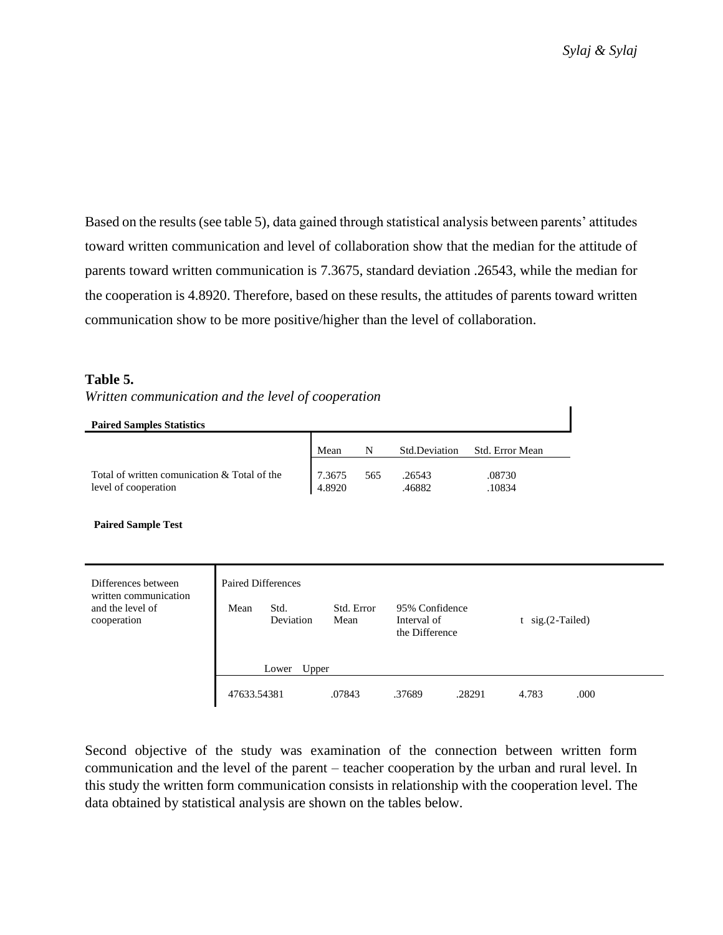Based on the results (see table 5), data gained through statistical analysis between parents' attitudes toward written communication and level of collaboration show that the median for the attitude of parents toward written communication is 7.3675, standard deviation .26543, while the median for the cooperation is 4.8920. Therefore, based on these results, the attitudes of parents toward written communication show to be more positive/higher than the level of collaboration.

# **Table 5.**

*Written communication and the level of cooperation*

**Paired Samples Statistics**

|                                              | Mean   | N   | Std.Deviation | Std. Error Mean |
|----------------------------------------------|--------|-----|---------------|-----------------|
| Total of written comunication & Total of the | 7.3675 | 565 | .26543        | .08730          |
| level of cooperation                         | 4.8920 |     | .46882        | 10834           |

**Paired Sample Test**

| Differences between<br>written communication | <b>Paired Differences</b> |                   |                    |                                                 |        |                       |      |  |
|----------------------------------------------|---------------------------|-------------------|--------------------|-------------------------------------------------|--------|-----------------------|------|--|
| and the level of<br>cooperation              | Mean                      | Std.<br>Deviation | Std. Error<br>Mean | 95% Confidence<br>Interval of<br>the Difference |        | $t$ sig. $(2-Tailed)$ |      |  |
|                                              | Upper<br>Lower            |                   |                    |                                                 |        |                       |      |  |
|                                              | 47633.54381               |                   | .07843             | .37689                                          | .28291 | 4.783                 | .000 |  |

Second objective of the study was examination of the connection between written form communication and the level of the parent – teacher cooperation by the urban and rural level. In this study the written form communication consists in relationship with the cooperation level. The data obtained by statistical analysis are shown on the tables below.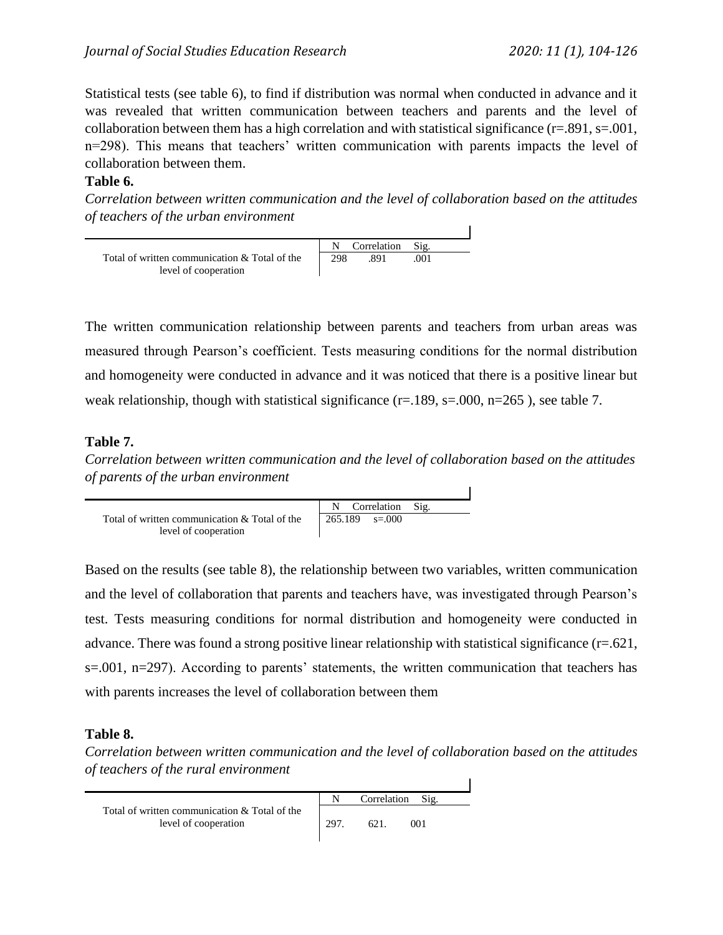Statistical tests (see table 6), to find if distribution was normal when conducted in advance and it was revealed that written communication between teachers and parents and the level of collaboration between them has a high correlation and with statistical significance (r=.891, s=.001, n=298). This means that teachers' written communication with parents impacts the level of collaboration between them.

# **Table 6.**

*Correlation between written communication and the level of collaboration based on the attitudes of teachers of the urban environment*



The written communication relationship between parents and teachers from urban areas was measured through Pearson's coefficient. Tests measuring conditions for the normal distribution and homogeneity were conducted in advance and it was noticed that there is a positive linear but weak relationship, though with statistical significance ( $r=189$ ,  $s=0.00$ ,  $n=265$ ), see table 7.

# **Table 7.**

*Correlation between written communication and the level of collaboration based on the attitudes of parents of the urban environment*



Based on the results (see table 8), the relationship between two variables, written communication and the level of collaboration that parents and teachers have, was investigated through Pearson's test. Tests measuring conditions for normal distribution and homogeneity were conducted in advance. There was found a strong positive linear relationship with statistical significance (r=.621, s=.001, n=297). According to parents' statements, the written communication that teachers has with parents increases the level of collaboration between them

# **Table 8.**

*Correlation between written communication and the level of collaboration based on the attitudes of teachers of the rural environment*

|                                                                       |     | Correlation<br>Sig. |  |
|-----------------------------------------------------------------------|-----|---------------------|--|
| Total of written communication & Total of the<br>level of cooperation | 297 | 621.<br>001         |  |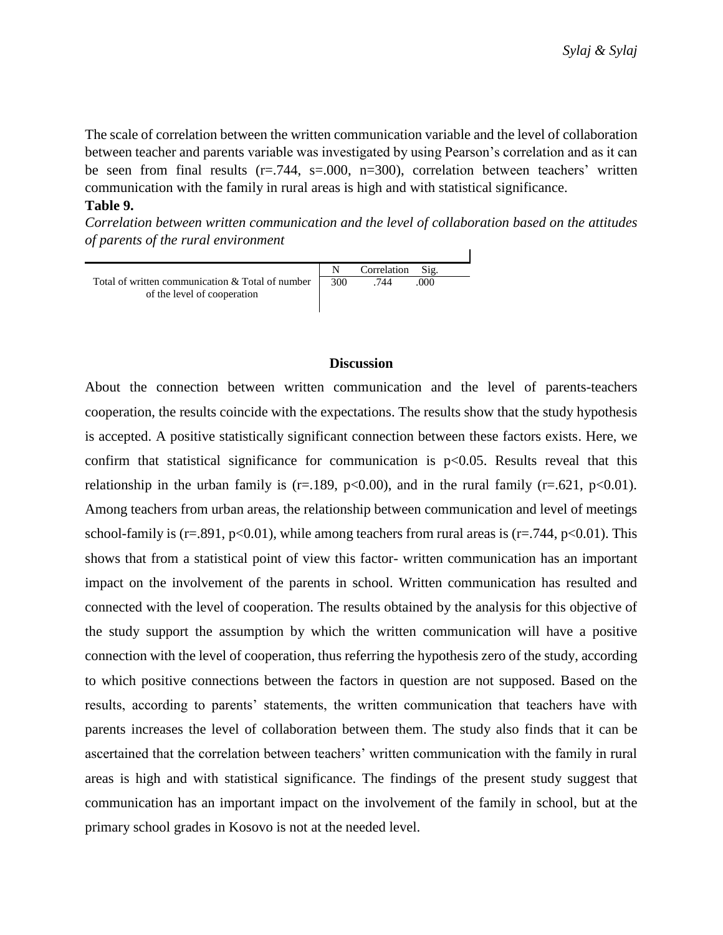The scale of correlation between the written communication variable and the level of collaboration between teacher and parents variable was investigated by using Pearson's correlation and as it can be seen from final results  $(r=.744, s=.000, n=.300)$ , correlation between teachers' written communication with the family in rural areas is high and with statistical significance. **Table 9.**

*Correlation between written communication and the level of collaboration based on the attitudes of parents of the rural environment*



#### **Discussion**

About the connection between written communication and the level of parents-teachers cooperation, the results coincide with the expectations. The results show that the study hypothesis is accepted. A positive statistically significant connection between these factors exists. Here, we confirm that statistical significance for communication is  $p<0.05$ . Results reveal that this relationship in the urban family is (r=.189, p<0.00), and in the rural family (r=.621, p<0.01). Among teachers from urban areas, the relationship between communication and level of meetings school-family is (r=.891, p<0.01), while among teachers from rural areas is (r=.744, p<0.01). This shows that from a statistical point of view this factor- written communication has an important impact on the involvement of the parents in school. Written communication has resulted and connected with the level of cooperation. The results obtained by the analysis for this objective of the study support the assumption by which the written communication will have a positive connection with the level of cooperation, thus referring the hypothesis zero of the study, according to which positive connections between the factors in question are not supposed. Based on the results, according to parents' statements, the written communication that teachers have with parents increases the level of collaboration between them. The study also finds that it can be ascertained that the correlation between teachers' written communication with the family in rural areas is high and with statistical significance. The findings of the present study suggest that communication has an important impact on the involvement of the family in school, but at the primary school grades in Kosovo is not at the needed level.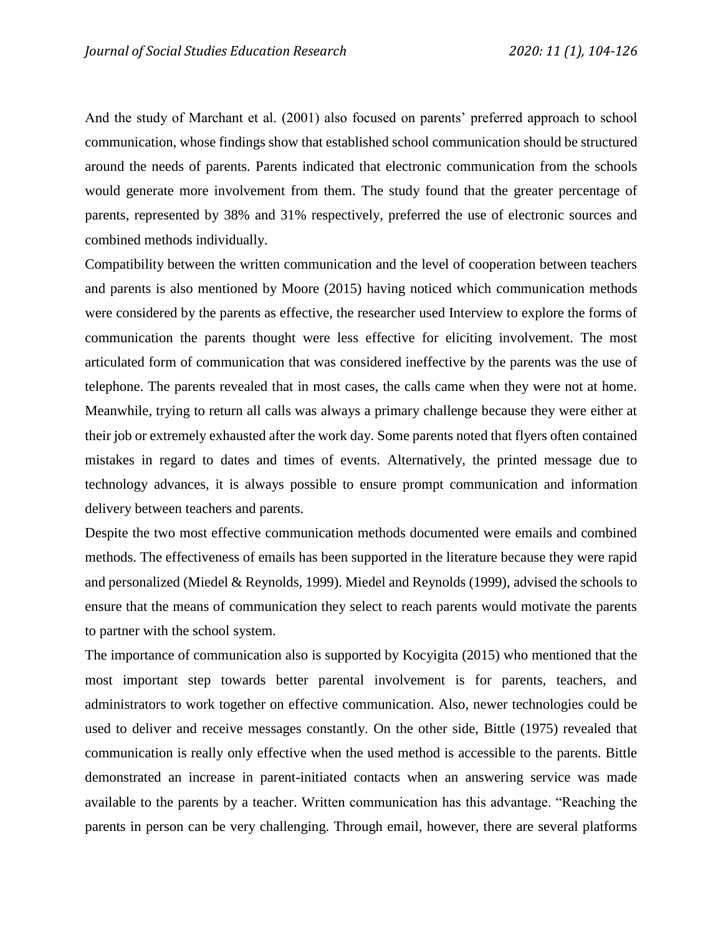And the study of Marchant et al. (2001) also focused on parents' preferred approach to school communication, whose findings show that established school communication should be structured around the needs of parents. Parents indicated that electronic communication from the schools would generate more involvement from them. The study found that the greater percentage of parents, represented by 38% and 31% respectively, preferred the use of electronic sources and combined methods individually.

Compatibility between the written communication and the level of cooperation between teachers and parents is also mentioned by Moore (2015) having noticed which communication methods were considered by the parents as effective, the researcher used Interview to explore the forms of communication the parents thought were less effective for eliciting involvement. The most articulated form of communication that was considered ineffective by the parents was the use of telephone. The parents revealed that in most cases, the calls came when they were not at home. Meanwhile, trying to return all calls was always a primary challenge because they were either at their job or extremely exhausted after the work day. Some parents noted that flyers often contained mistakes in regard to dates and times of events. Alternatively, the printed message due to technology advances, it is always possible to ensure prompt communication and information delivery between teachers and parents.

Despite the two most effective communication methods documented were emails and combined methods. The effectiveness of emails has been supported in the literature because they were rapid and personalized (Miedel & Reynolds, 1999). Miedel and Reynolds (1999), advised the schools to ensure that the means of communication they select to reach parents would motivate the parents to partner with the school system.

The importance of communication also is supported by Kocyigita (2015) who mentioned that the most important step towards better parental involvement is for parents, teachers, and administrators to work together on effective communication. Also, newer technologies could be used to deliver and receive messages constantly. On the other side, Bittle (1975) revealed that communication is really only effective when the used method is accessible to the parents. Bittle demonstrated an increase in parent-initiated contacts when an answering service was made available to the parents by a teacher. Written communication has this advantage. "Reaching the parents in person can be very challenging. Through email, however, there are several platforms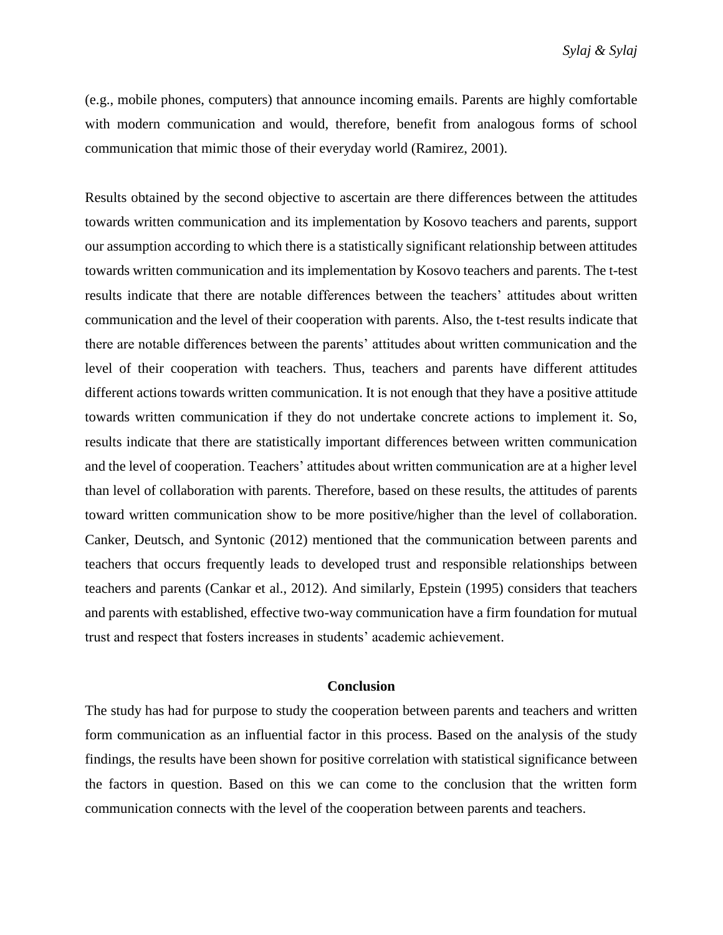(e.g., mobile phones, computers) that announce incoming emails. Parents are highly comfortable with modern communication and would, therefore, benefit from analogous forms of school communication that mimic those of their everyday world (Ramirez, 2001).

Results obtained by the second objective to ascertain are there differences between the attitudes towards written communication and its implementation by Kosovo teachers and parents, support our assumption according to which there is a statistically significant relationship between attitudes towards written communication and its implementation by Kosovo teachers and parents. The t-test results indicate that there are notable differences between the teachers' attitudes about written communication and the level of their cooperation with parents. Also, the t-test results indicate that there are notable differences between the parents' attitudes about written communication and the level of their cooperation with teachers. Thus, teachers and parents have different attitudes different actions towards written communication. It is not enough that they have a positive attitude towards written communication if they do not undertake concrete actions to implement it. So, results indicate that there are statistically important differences between written communication and the level of cooperation. Teachers' attitudes about written communication are at a higher level than level of collaboration with parents. Therefore, based on these results, the attitudes of parents toward written communication show to be more positive/higher than the level of collaboration. Canker, Deutsch, and Syntonic (2012) mentioned that the communication between parents and teachers that occurs frequently leads to developed trust and responsible relationships between teachers and parents (Cankar et al., 2012). And similarly, Epstein (1995) considers that teachers and parents with established, effective two-way communication have a firm foundation for mutual trust and respect that fosters increases in students' academic achievement.

#### **Conclusion**

The study has had for purpose to study the cooperation between parents and teachers and written form communication as an influential factor in this process. Based on the analysis of the study findings, the results have been shown for positive correlation with statistical significance between the factors in question. Based on this we can come to the conclusion that the written form communication connects with the level of the cooperation between parents and teachers.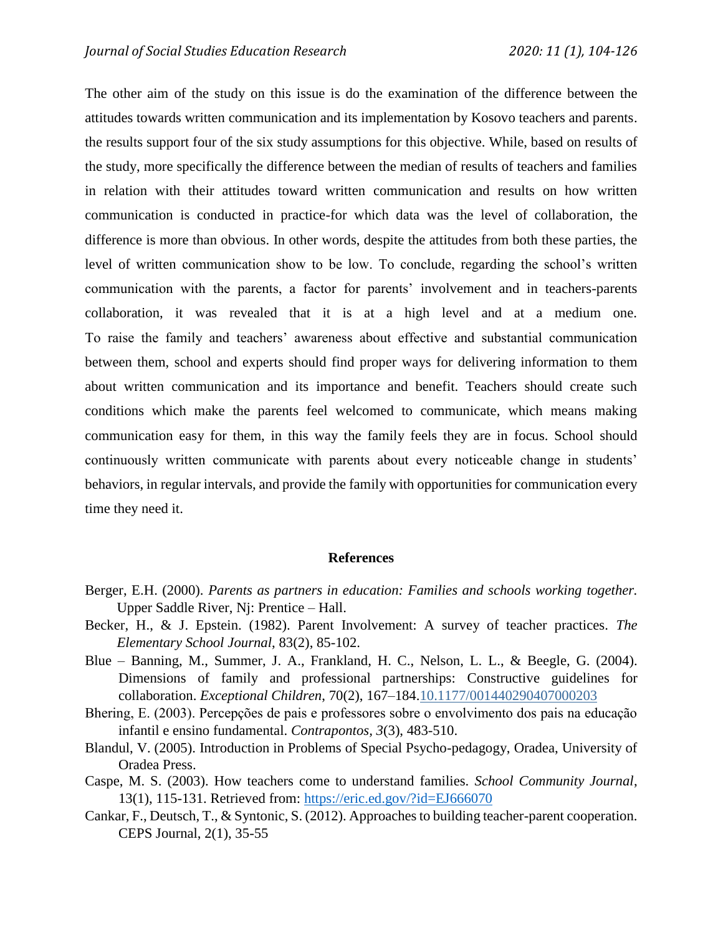The other aim of the study on this issue is do the examination of the difference between the attitudes towards written communication and its implementation by Kosovo teachers and parents. the results support four of the six study assumptions for this objective. While, based on results of the study, more specifically the difference between the median of results of teachers and families in relation with their attitudes toward written communication and results on how written communication is conducted in practice-for which data was the level of collaboration, the difference is more than obvious. In other words, despite the attitudes from both these parties, the level of written communication show to be low. To conclude, regarding the school's written communication with the parents, a factor for parents' involvement and in teachers-parents collaboration, it was revealed that it is at a high level and at a medium one. To raise the family and teachers' awareness about effective and substantial communication between them, school and experts should find proper ways for delivering information to them about written communication and its importance and benefit. Teachers should create such conditions which make the parents feel welcomed to communicate, which means making communication easy for them, in this way the family feels they are in focus. School should continuously written communicate with parents about every noticeable change in students' behaviors, in regular intervals, and provide the family with opportunities for communication every time they need it.

#### **References**

- Berger, E.H. (2000). *Parents as partners in education: Families and schools working together.* Upper Saddle River, Nj: Prentice – Hall.
- Becker, H., & J. Epstein. (1982). Parent Involvement: A survey of teacher practices. *The Elementary School Journal*, 83(2), 85-102.
- Blue Banning, M., Summer, J. A., Frankland, H. C., Nelson, L. L., & Beegle, G. (2004). Dimensions of family and professional partnerships: Constructive guidelines for collaboration. *Exceptional Children*, 70(2), 167–184[.10.1177/001440290407000203](https://doi.org/10.1177%2F001440290407000203)
- Bhering, E. (2003). Percepções de pais e professores sobre o envolvimento dos pais na educação infantil e ensino fundamental. *Contrapontos, 3*(3), 483-510.
- Blandul, V. (2005). Introduction in Problems of Special Psycho-pedagogy, Oradea, University of Oradea Press.
- Caspe, M. S. (2003). How teachers come to understand families. *School Community Journal*, 13(1), 115-131. Retrieved from:<https://eric.ed.gov/?id=EJ666070>
- Cankar, F., Deutsch, T., & Syntonic, S. (2012). Approaches to building teacher-parent cooperation. CEPS Journal, 2(1), 35-55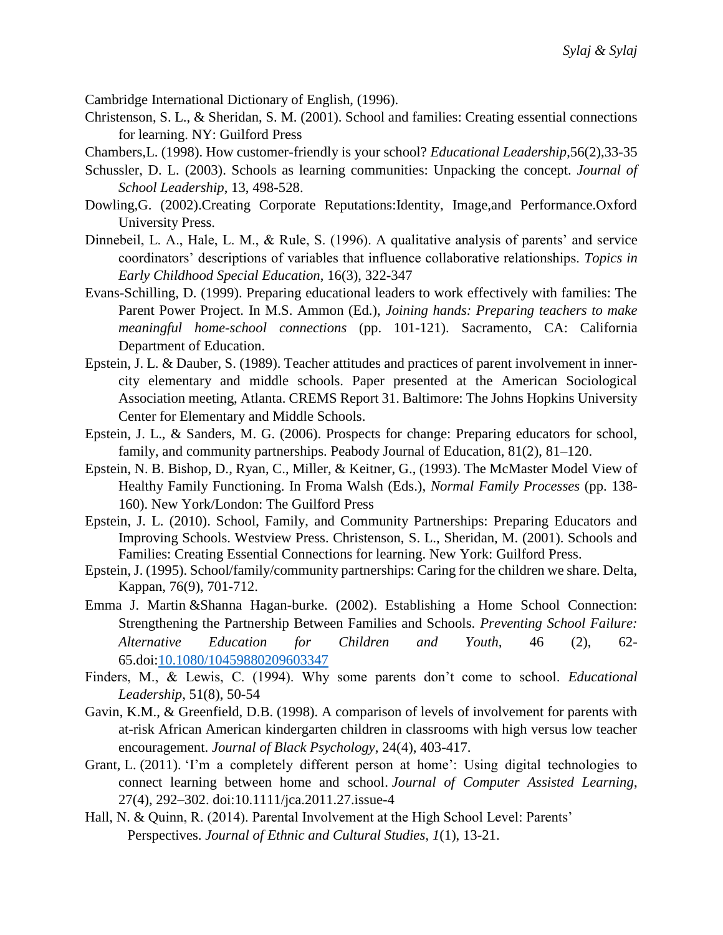Cambridge International Dictionary of English, (1996).

- Christenson, S. L., & Sheridan, S. M. (2001). School and families: Creating essential connections for learning. NY: Guilford Press
- Chambers,L. (1998). How customer-friendly is your school? *Educational Leadership*,56(2),33-35
- Schussler, D. L. (2003). Schools as learning communities: Unpacking the concept. *Journal of School Leadership*, 13, 498-528.
- Dowling,G. (2002).Creating Corporate Reputations:Identity, Image,and Performance.Oxford University Press.
- Dinnebeil, L. A., Hale, L. M., & Rule, S. (1996). A qualitative analysis of parents' and service coordinators' descriptions of variables that influence collaborative relationships. *Topics in Early Childhood Special Education*, 16(3), 322-347
- Evans-Schilling, D. (1999). Preparing educational leaders to work effectively with families: The Parent Power Project. In M.S. Ammon (Ed.), *Joining hands: Preparing teachers to make meaningful home-school connections* (pp. 101-121). Sacramento, CA: California Department of Education.
- Epstein, J. L. & Dauber, S. (1989). Teacher attitudes and practices of parent involvement in innercity elementary and middle schools. Paper presented at the American Sociological Association meeting, Atlanta. CREMS Report 31. Baltimore: The Johns Hopkins University Center for Elementary and Middle Schools.
- Epstein, J. L., & Sanders, M. G. (2006). Prospects for change: Preparing educators for school, family, and community partnerships. Peabody Journal of Education, 81(2), 81–120.
- Epstein, N. B. Bishop, D., Ryan, C., Miller, & Keitner, G., (1993). The McMaster Model View of Healthy Family Functioning. In Froma Walsh (Eds.), *Normal Family Processes* (pp. 138- 160). New York/London: The Guilford Press
- Epstein, J. L. (2010). School, Family, and Community Partnerships: Preparing Educators and Improving Schools. Westview Press. Christenson, S. L., Sheridan, M. (2001). Schools and Families: Creating Essential Connections for learning. New York: Guilford Press.
- Epstein, J. (1995). School/family/community partnerships: Caring for the children we share. Delta, Kappan, 76(9), 701-712.
- [Emma J. Martin](https://www.tandfonline.com/author/Martin%2C+Emma+J) &Shanna Hagan-burke. (2002). Establishing a Home School Connection: Strengthening the Partnership Between Families and Schools. *Preventing School Failure: Alternative Education for Children and Youth,* 46 (2), 62- 65.doi[:10.1080/10459880209603347](https://doi.org/10.1080/10459880209603347)
- Finders, M., & Lewis, C. (1994). Why some parents don't come to school. *Educational Leadership*, 51(8), 50-54
- Gavin, K.M., & Greenfield, D.B. (1998). A comparison of levels of involvement for parents with at-risk African American kindergarten children in classrooms with high versus low teacher encouragement. *Journal of Black Psychology*, 24(4), 403-417.
- Grant, L. (2011). 'I'm a completely different person at home': Using digital technologies to connect learning between home and school. *Journal of Computer Assisted Learning*, 27(4), 292–302. doi:10.1111/jca.2011.27.issue-4
- Hall, N. & Quinn, R. (2014). Parental Involvement at the High School Level: Parents' Perspectives. *Journal of Ethnic and Cultural Studies, 1*(1), 13-21.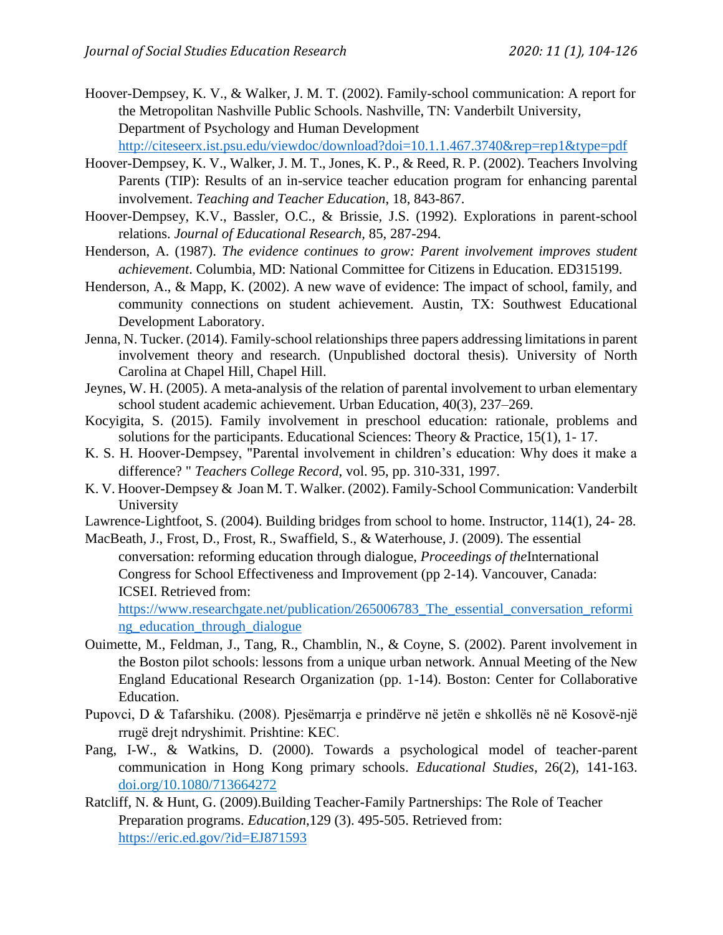Hoover-Dempsey, K. V., & Walker, J. M. T. (2002). Family-school communication: A report for the Metropolitan Nashville Public Schools. Nashville, TN: Vanderbilt University, Department of Psychology and Human Development

<http://citeseerx.ist.psu.edu/viewdoc/download?doi=10.1.1.467.3740&rep=rep1&type=pdf>

- Hoover-Dempsey, K. V., Walker, J. M. T., Jones, K. P., & Reed, R. P. (2002). Teachers Involving Parents (TIP): Results of an in-service teacher education program for enhancing parental involvement. *Teaching and Teacher Education*, 18, 843-867.
- Hoover-Dempsey, K.V., Bassler, O.C., & Brissie, J.S. (1992). Explorations in parent-school relations. *Journal of Educational Research,* 85, 287-294.
- Henderson, A. (1987). *The evidence continues to grow: Parent involvement improves student achievement*. Columbia, MD: National Committee for Citizens in Education. ED315199.
- Henderson, A., & Mapp, K. (2002). A new wave of evidence: The impact of school, family, and community connections on student achievement. Austin, TX: Southwest Educational Development Laboratory.
- Jenna, N. Tucker. (2014). Family-school relationships three papers addressing limitations in parent involvement theory and research. (Unpublished doctoral thesis). University of North Carolina at Chapel Hill, Chapel Hill.
- Jeynes, W. H. (2005). A meta-analysis of the relation of parental involvement to urban elementary school student academic achievement. Urban Education, 40(3), 237–269.
- Kocyigita, S. (2015). Family involvement in preschool education: rationale, problems and solutions for the participants. Educational Sciences: Theory & Practice, 15(1), 1- 17.
- K. S. H. Hoover-Dempsey, "Parental involvement in children's education: Why does it make a difference? " *Teachers College Record*, vol. 95, pp. 310-331, 1997.
- K. V. Hoover-Dempsey & Joan M. T. Walker. (2002). Family-School Communication: Vanderbilt University
- Lawrence-Lightfoot, S. (2004). Building bridges from school to home. Instructor, 114(1), 24- 28.
- MacBeath, J., Frost, D., Frost, R., Swaffield, S., & Waterhouse, J. (2009). The essential conversation: reforming education through dialogue, *Proceedings of the*International Congress for School Effectiveness and Improvement (pp 2-14). Vancouver, Canada: ICSEI. Retrieved from:

[https://www.researchgate.net/publication/265006783\\_The\\_essential\\_conversation\\_reformi](https://www.researchgate.net/publication/265006783_The_essential_conversation_reforming_education_through_dialogue) ng education through dialogue

- Ouimette, M., Feldman, J., Tang, R., Chamblin, N., & Coyne, S. (2002). Parent involvement in the Boston pilot schools: lessons from a unique urban network. Annual Meeting of the New England Educational Research Organization (pp. 1-14). Boston: Center for Collaborative Education.
- Pupovci, D & Tafarshiku. (2008). Pjesëmarrja e prindërve në jetën e shkollës në në Kosovë-një rrugë drejt ndryshimit. Prishtine: KEC.
- Pang, I-W., & Watkins, D. (2000). Towards a psychological model of teacher-parent communication in Hong Kong primary schools. *Educational Studies*, 26(2), 141-163. [doi.org/10.1080/713664272](https://doi.org/10.1080/713664272)
- Ratcliff, N. & Hunt, G. (2009).Building Teacher-Family Partnerships: The Role of Teacher Preparation programs. *Education*,129 (3). 495-505. Retrieved from: <https://eric.ed.gov/?id=EJ871593>